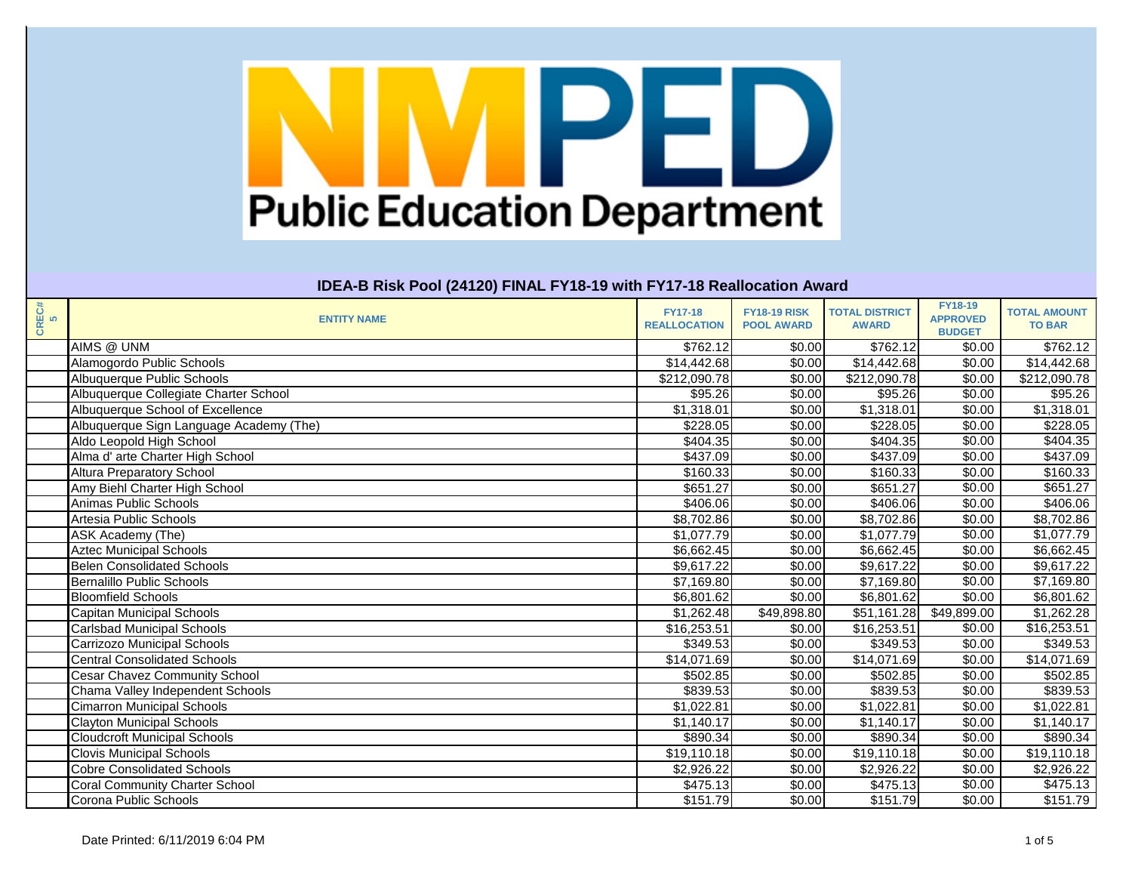| CREC#<br>5 | <b>ENTITY NAME</b>                      | <b>FY17-18</b><br><b>REALLOCATION</b> | <b>FY18-19 RISK</b><br><b>POOL AWARD</b> | <b>TOTAL DISTRICT</b><br><b>AWARD</b> | <b>FY18-19</b><br><b>APPROVED</b><br><b>BUDGET</b> | <b>TOTAL AMOUNT</b><br><b>TO BAR</b> |
|------------|-----------------------------------------|---------------------------------------|------------------------------------------|---------------------------------------|----------------------------------------------------|--------------------------------------|
|            | AIMS @ UNM                              | \$762.12                              | \$0.00                                   | \$762.12                              | \$0.00                                             | \$762.12                             |
|            | Alamogordo Public Schools               | \$14,442.68                           | \$0.00                                   | \$14,442.68                           | \$0.00                                             | $\sqrt{14,442.68}$                   |
|            | Albuquerque Public Schools              | \$212,090.78                          | \$0.00                                   | \$212,090.78                          | \$0.00                                             | \$212,090.78                         |
|            | Albuquerque Collegiate Charter School   | \$95.26                               | \$0.00                                   | \$95.26                               | \$0.00                                             | \$95.26                              |
|            | Albuquerque School of Excellence        | \$1,318.01                            | \$0.00                                   | $\overline{\$1,318.01}$               | \$0.00                                             | $\overline{\$1,318.01}$              |
|            | Albuquerque Sign Language Academy (The) | \$228.05                              | \$0.00                                   | \$228.05                              | \$0.00                                             | \$228.05                             |
|            | Aldo Leopold High School                | \$404.35                              | \$0.00                                   | \$404.35                              | \$0.00                                             | \$404.35                             |
|            | Alma d' arte Charter High School        | \$437.09                              | \$0.00                                   | \$437.09                              | \$0.00                                             | \$437.09                             |
|            | <b>Altura Preparatory School</b>        | \$160.33                              | \$0.00                                   | \$160.33                              | \$0.00                                             | \$160.33                             |
|            | Amy Biehl Charter High School           | $\overline{$651.27}$                  | \$0.00                                   | \$651.27                              | \$0.00                                             | \$651.27                             |
|            | Animas Public Schools                   | \$406.06                              | \$0.00                                   | \$406.06                              | \$0.00                                             | \$406.06                             |
|            | Artesia Public Schools                  | \$8,702.86                            | \$0.00                                   | \$8,702.86                            | \$0.00                                             | $\overline{$8,702.86}$               |
|            | ASK Academy (The)                       | \$1,077.79                            | \$0.00                                   | \$1,077.79                            | \$0.00                                             | \$1,077.79                           |
|            | <b>Aztec Municipal Schools</b>          | \$6,662.45                            | \$0.00                                   | \$6,662.45                            | \$0.00                                             | \$6,662.45                           |
|            | <b>Belen Consolidated Schools</b>       | \$9,617.22                            | \$0.00                                   | \$9,617.22                            | \$0.00                                             | \$9,617.22                           |
|            | <b>Bernalillo Public Schools</b>        | \$7,169.80                            | \$0.00                                   | \$7,169.80                            | \$0.00                                             | \$7,169.80                           |
|            | <b>Bloomfield Schools</b>               | \$6,801.62                            | \$0.00                                   | \$6,801.62                            | \$0.00                                             | \$6,801.62                           |
|            | Capitan Municipal Schools               | \$1,262.48                            | \$49,898.80                              | \$51,161.28                           | \$49,899.00                                        | \$1,262.28                           |
|            | <b>Carlsbad Municipal Schools</b>       | \$16,253.51                           | \$0.00                                   | \$16,253.51                           | \$0.00                                             | \$16,253.51                          |
|            | <b>Carrizozo Municipal Schools</b>      | \$349.53                              | \$0.00                                   | \$349.53                              | \$0.00                                             | \$349.53                             |
|            | <b>Central Consolidated Schools</b>     | $\overline{$14,071.69}$               | \$0.00                                   | \$14,071.69                           | \$0.00                                             | \$14,071.69                          |
|            | <b>Cesar Chavez Community School</b>    | \$502.85                              | \$0.00                                   | \$502.85                              | \$0.00                                             | \$502.85                             |
|            | Chama Valley Independent Schools        | \$839.53                              | \$0.00                                   | \$839.53                              | \$0.00                                             | \$839.53                             |
|            | <b>Cimarron Municipal Schools</b>       | \$1,022.81                            | \$0.00                                   | \$1,022.81                            | \$0.00                                             | \$1,022.81                           |
|            | <b>Clayton Municipal Schools</b>        | \$1,140.17                            | \$0.00                                   | \$1,140.17                            | \$0.00                                             | $\overline{1,140.17}$                |
|            | <b>Cloudcroft Municipal Schools</b>     | \$890.34                              | \$0.00                                   | \$890.34                              | \$0.00                                             | $\frac{1}{$890.34}$                  |
|            | <b>Clovis Municipal Schools</b>         | \$19,110.18                           | \$0.00                                   | \$19,110.18                           | \$0.00                                             | \$19,110.18                          |
|            | <b>Cobre Consolidated Schools</b>       | \$2,926.22                            | \$0.00                                   | \$2,926.22                            | \$0.00                                             | \$2,926.22                           |
|            | <b>Coral Community Charter School</b>   | \$475.13                              | \$0.00                                   | \$475.13                              | \$0.00                                             | \$475.13                             |
|            | Corona Public Schools                   | \$151.79                              | \$0.00                                   | \$151.79                              | \$0.00                                             | \$151.79                             |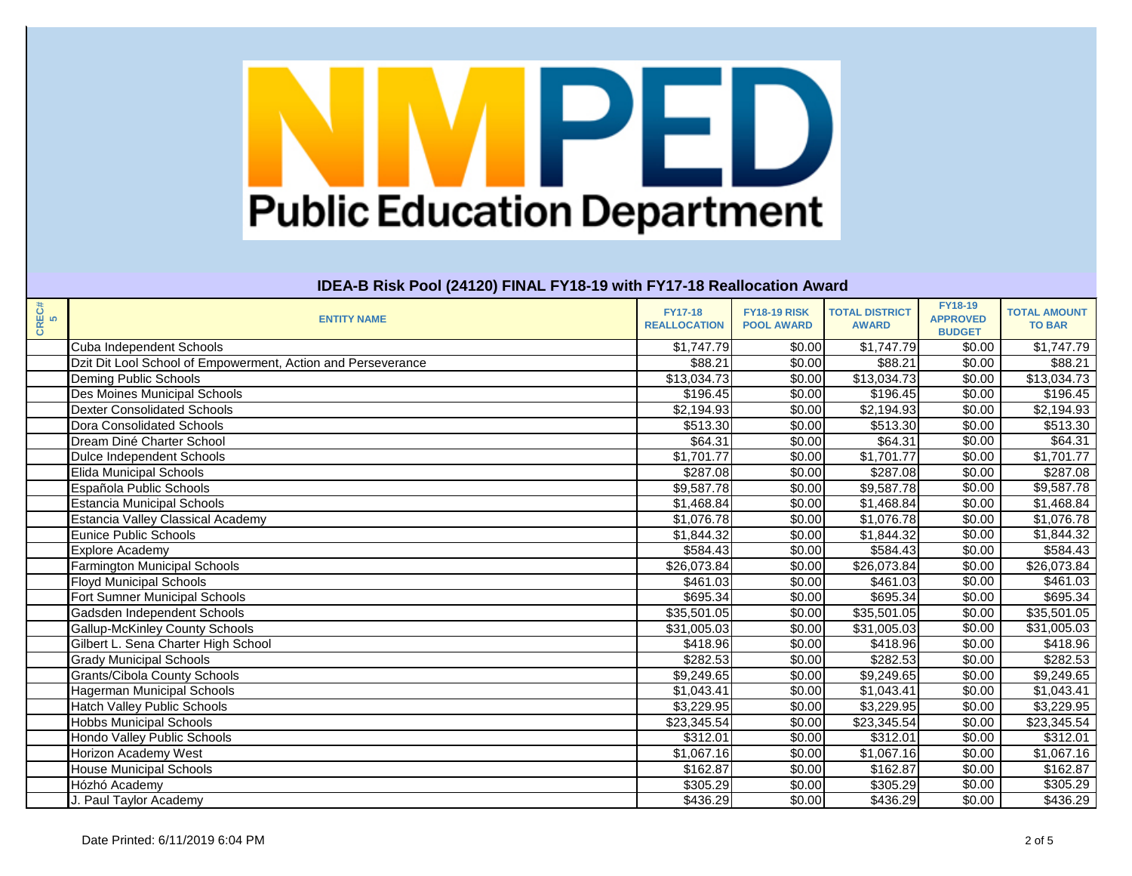| CREC#<br>5 | <b>ENTITY NAME</b>                                           | <b>FY17-18</b><br><b>REALLOCATION</b> | <b>FY18-19 RISK</b><br><b>POOL AWARD</b> | <b>TOTAL DISTRICT</b><br><b>AWARD</b> | <b>FY18-19</b><br><b>APPROVED</b><br><b>BUDGET</b> | <b>TOTAL AMOUNT</b><br><b>TO BAR</b> |
|------------|--------------------------------------------------------------|---------------------------------------|------------------------------------------|---------------------------------------|----------------------------------------------------|--------------------------------------|
|            | <b>Cuba Independent Schools</b>                              | \$1,747.79                            | \$0.00                                   | \$1,747.79                            | \$0.00                                             | \$1,747.79                           |
|            | Dzit Dit Lool School of Empowerment, Action and Perseverance | $\overline{$88.21}$                   | \$0.00                                   | \$88.21                               | \$0.00                                             | \$88.21                              |
|            | <b>Deming Public Schools</b>                                 | \$13,034.73                           | \$0.00                                   | \$13,034.73                           | \$0.00                                             | \$13,034.73                          |
|            | Des Moines Municipal Schools                                 | \$196.45                              | \$0.00                                   | \$196.45                              | \$0.00                                             | \$196.45                             |
|            | <b>Dexter Consolidated Schools</b>                           | $\overline{$2,194.93}$                | \$0.00                                   | $\overline{$2,194.93}$                | \$0.00                                             | $\overline{2,194.93}$                |
|            | <b>Dora Consolidated Schools</b>                             | \$513.30                              | \$0.00                                   | \$513.30                              | \$0.00                                             | \$513.30                             |
|            | Dream Diné Charter School                                    | \$64.31                               | \$0.00                                   | \$64.31                               | \$0.00                                             | \$64.31                              |
|            | <b>Dulce Independent Schools</b>                             | \$1,701.77                            | \$0.00                                   | $\overline{$1,701.77}$                | \$0.00                                             | $\overline{$1,701.77}$               |
|            | <b>Elida Municipal Schools</b>                               | \$287.08                              | \$0.00                                   | \$287.08                              | \$0.00                                             | \$287.08                             |
|            | Española Public Schools                                      | \$9,587.78                            | \$0.00                                   | \$9,587.78                            | \$0.00                                             | \$9,587.78                           |
|            | <b>Estancia Municipal Schools</b>                            | \$1,468.84                            | \$0.00                                   | \$1,468.84                            | \$0.00                                             | \$1,468.84                           |
|            | <b>Estancia Valley Classical Academy</b>                     | \$1,076.78                            | \$0.00                                   | \$1,076.78                            | \$0.00                                             | \$1,076.78                           |
|            | <b>Eunice Public Schools</b>                                 | \$1,844.32                            | \$0.00                                   | \$1,844.32                            | \$0.00                                             | \$1,844.32                           |
|            | <b>Explore Academy</b>                                       | \$584.43                              | \$0.00                                   | \$584.43                              | \$0.00                                             | \$584.43                             |
|            | <b>Farmington Municipal Schools</b>                          | $\overline{$}26,073.84$               | \$0.00                                   | $\overline{$}26,073.84$               | \$0.00                                             | $\overline{$}26,073.84$              |
|            | <b>Floyd Municipal Schools</b>                               | \$461.03                              | \$0.00                                   | \$461.03                              | \$0.00                                             | \$461.03                             |
|            | <b>Fort Sumner Municipal Schools</b>                         | \$695.34                              | \$0.00                                   | \$695.34                              | \$0.00                                             | \$695.34                             |
|            | Gadsden Independent Schools                                  | $\overline{$35,501.05}$               | \$0.00                                   | \$35,501.05                           | \$0.00                                             | $\overline{$35,501.05}$              |
|            | <b>Gallup-McKinley County Schools</b>                        | \$31,005.03                           | \$0.00                                   | \$31,005.03                           | \$0.00                                             | \$31,005.03                          |
|            | Gilbert L. Sena Charter High School                          | \$418.96                              | \$0.00                                   | \$418.96                              | \$0.00                                             | \$418.96                             |
|            | <b>Grady Municipal Schools</b>                               | $\overline{$}282.53$                  | \$0.00                                   | \$282.53                              | \$0.00                                             | \$282.53                             |
|            | <b>Grants/Cibola County Schools</b>                          | \$9,249.65                            | \$0.00                                   | \$9,249.65                            | \$0.00                                             | \$9,249.65                           |
|            | <b>Hagerman Municipal Schools</b>                            | \$1,043.41                            | \$0.00                                   | \$1,043.41                            | \$0.00                                             | \$1,043.41                           |
|            | <b>Hatch Valley Public Schools</b>                           | \$3,229.95                            | \$0.00                                   | \$3,229.95                            | \$0.00                                             | \$3,229.95                           |
|            | <b>Hobbs Municipal Schools</b>                               | \$23,345.54                           | \$0.00                                   | \$23,345.54                           | \$0.00                                             | \$23,345.54                          |
|            | Hondo Valley Public Schools                                  | \$312.01                              | \$0.00                                   | \$312.01                              | \$0.00                                             | \$312.01                             |
|            | Horizon Academy West                                         | \$1,067.16                            | \$0.00                                   | \$1,067.16                            | \$0.00                                             | \$1,067.16                           |
|            | <b>House Municipal Schools</b>                               | \$162.87                              | \$0.00                                   | \$162.87                              | \$0.00                                             | \$162.87                             |
|            | Hózhó Academy                                                | \$305.29                              | \$0.00                                   | \$305.29                              | \$0.00                                             | \$305.29                             |
|            | J. Paul Taylor Academy                                       | \$436.29                              | \$0.00                                   | \$436.29                              | \$0.00                                             | \$436.29                             |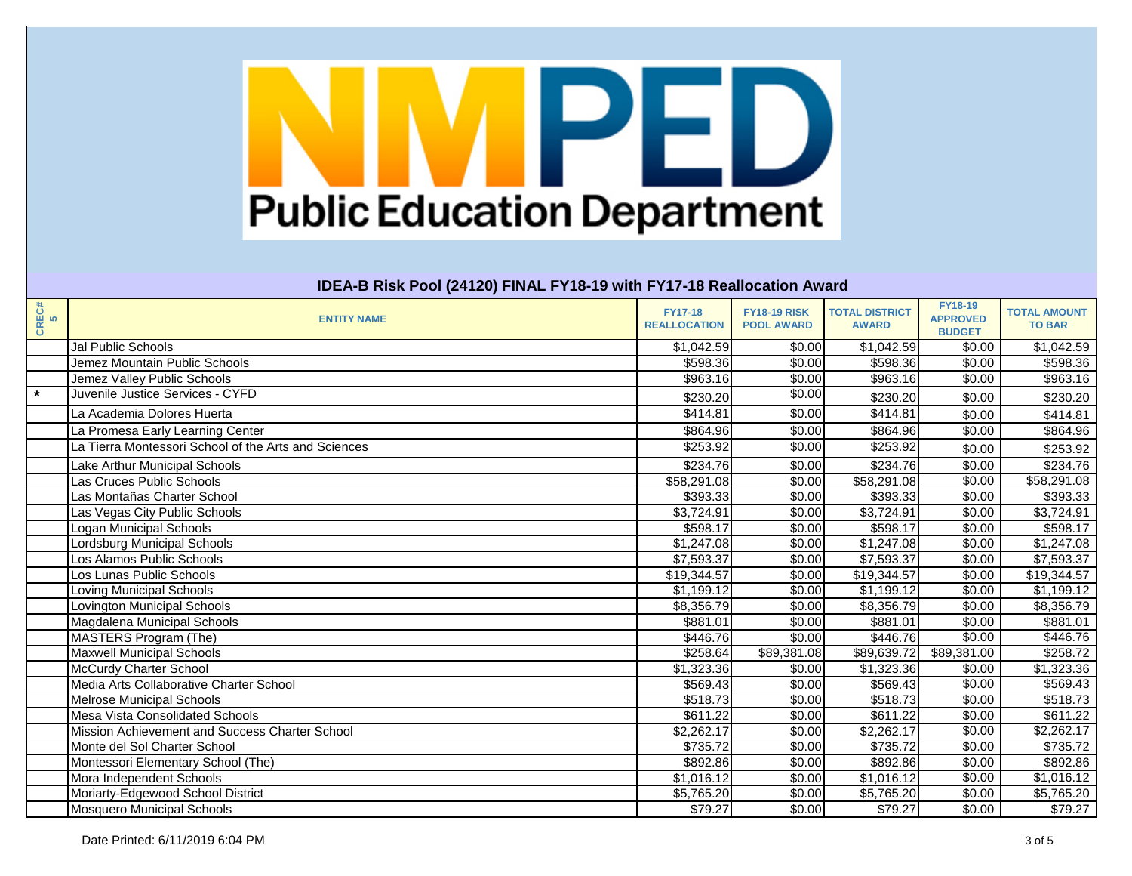| CREC#<br>5 | <b>ENTITY NAME</b>                                   | <b>FY17-18</b><br><b>REALLOCATION</b> | <b>FY18-19 RISK</b><br><b>POOL AWARD</b> | <b>TOTAL DISTRICT</b><br><b>AWARD</b> | <b>FY18-19</b><br><b>APPROVED</b><br><b>BUDGET</b> | <b>TOTAL AMOUNT</b><br><b>TO BAR</b> |
|------------|------------------------------------------------------|---------------------------------------|------------------------------------------|---------------------------------------|----------------------------------------------------|--------------------------------------|
|            | <b>Jal Public Schools</b>                            | \$1,042.59                            | \$0.00                                   | \$1,042.59                            | \$0.00                                             | \$1,042.59                           |
|            | Jemez Mountain Public Schools                        | \$598.36                              | \$0.00                                   | \$598.36                              | \$0.00                                             | \$598.36                             |
|            | Jemez Valley Public Schools                          | \$963.16                              | \$0.00                                   | \$963.16                              | \$0.00                                             | \$963.16                             |
| $\star$    | Juvenile Justice Services - CYFD                     | \$230.20                              | \$0.00                                   | \$230.20                              | \$0.00                                             | \$230.20                             |
|            | La Academia Dolores Huerta                           | \$414.81                              | \$0.00                                   | \$414.81                              | \$0.00                                             | \$414.81                             |
|            | La Promesa Early Learning Center                     | \$864.96                              | \$0.00                                   | \$864.96                              | \$0.00                                             | \$864.96                             |
|            | La Tierra Montessori School of the Arts and Sciences | \$253.92                              | \$0.00                                   | \$253.92                              | \$0.00                                             | \$253.92                             |
|            | Lake Arthur Municipal Schools                        | \$234.76                              | \$0.00                                   | \$234.76                              | \$0.00                                             | \$234.76                             |
|            | Las Cruces Public Schools                            | \$58,291.08                           | \$0.00                                   | \$58,291.08                           | \$0.00                                             | \$58,291.08                          |
|            | Las Montañas Charter School                          | \$393.33                              | \$0.00                                   | \$393.33                              | \$0.00                                             | \$393.33                             |
|            | Las Vegas City Public Schools                        | \$3,724.91                            | \$0.00                                   | \$3,724.91                            | \$0.00                                             | $\overline{\$3,724.91}$              |
|            | Logan Municipal Schools                              | \$598.17                              | \$0.00                                   | \$598.17                              | \$0.00                                             | \$598.17                             |
|            | Lordsburg Municipal Schools                          | \$1,247.08                            | \$0.00                                   | \$1,247.08                            | \$0.00                                             | \$1,247.08                           |
|            | Los Alamos Public Schools                            | \$7,593.37                            | \$0.00                                   | \$7,593.37                            | \$0.00                                             | \$7,593.37                           |
|            | Los Lunas Public Schools                             | \$19,344.57                           | \$0.00                                   | \$19,344.57                           | \$0.00                                             | \$19,344.57                          |
|            | Loving Municipal Schools                             | \$1,199.12                            | \$0.00                                   | \$1,199.12                            | \$0.00                                             | \$1,199.12                           |
|            | Lovington Municipal Schools                          | \$8,356.79                            | \$0.00                                   | \$8,356.79                            | \$0.00                                             | \$8,356.79                           |
|            | Magdalena Municipal Schools                          | \$881.01                              | \$0.00                                   | \$881.01                              | \$0.00                                             | \$881.01                             |
|            | MASTERS Program (The)                                | \$446.76                              | \$0.00                                   | \$446.76                              | \$0.00                                             | \$446.76                             |
|            | <b>Maxwell Municipal Schools</b>                     | \$258.64                              | \$89,381.08                              | \$89,639.72                           | \$89,381.00                                        | \$258.72                             |
|            | <b>McCurdy Charter School</b>                        | \$1,323.36                            | \$0.00                                   | \$1,323.36                            | \$0.00                                             | \$1,323.36                           |
|            | Media Arts Collaborative Charter School              | \$569.43                              | \$0.00                                   | \$569.43                              | \$0.00                                             | \$569.43                             |
|            | <b>Melrose Municipal Schools</b>                     | \$518.73                              | \$0.00                                   | \$518.73                              | \$0.00                                             | \$518.73                             |
|            | Mesa Vista Consolidated Schools                      | \$611.22                              | \$0.00                                   | \$611.22                              | \$0.00                                             | $\sqrt{$611.22}$                     |
|            | Mission Achievement and Success Charter School       | \$2,262.17                            | \$0.00                                   | \$2,262.17                            | \$0.00                                             | \$2,262.17                           |
|            | Monte del Sol Charter School                         | \$735.72                              | \$0.00                                   | $\overline{$}735.72$                  | \$0.00                                             | \$735.72                             |
|            | Montessori Elementary School (The)                   | \$892.86                              | \$0.00                                   | \$892.86                              | \$0.00                                             | \$892.86                             |
|            | Mora Independent Schools                             | \$1,016.12                            | \$0.00                                   | \$1,016.12                            | \$0.00                                             | \$1,016.12                           |
|            | Moriarty-Edgewood School District                    | \$5,765.20                            | \$0.00                                   | \$5,765.20                            | \$0.00                                             | \$5,765.20                           |
|            | <b>Mosquero Municipal Schools</b>                    | \$79.27                               | \$0.00                                   | \$79.27                               | \$0.00                                             | \$79.27                              |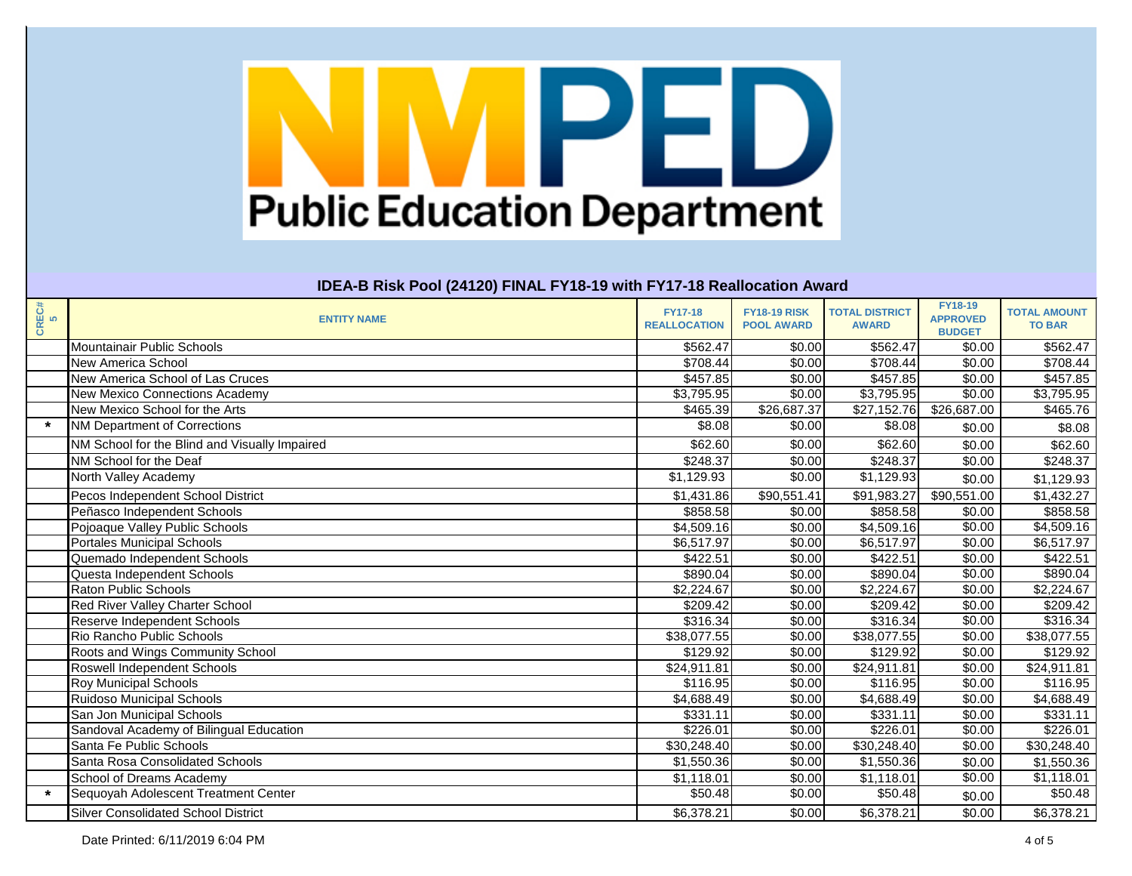| CREC#<br>5 | <b>ENTITY NAME</b>                            | <b>FY17-18</b><br><b>REALLOCATION</b> | <b>FY18-19 RISK</b><br><b>POOL AWARD</b> | <b>TOTAL DISTRICT</b><br><b>AWARD</b> | <b>FY18-19</b><br><b>APPROVED</b><br><b>BUDGET</b> | <b>TOTAL AMOUNT</b><br><b>TO BAR</b> |
|------------|-----------------------------------------------|---------------------------------------|------------------------------------------|---------------------------------------|----------------------------------------------------|--------------------------------------|
|            | Mountainair Public Schools                    | \$562.47                              | \$0.00                                   | \$562.47                              | \$0.00                                             | \$562.47                             |
|            | <b>New America School</b>                     | \$708.44                              | \$0.00                                   | \$708.44                              | \$0.00                                             | \$708.44                             |
|            | New America School of Las Cruces              | \$457.85                              | \$0.00                                   | \$457.85                              | \$0.00                                             | \$457.85                             |
|            | New Mexico Connections Academy                | \$3,795.95                            | \$0.00                                   | \$3,795.95                            | \$0.00                                             | \$3,795.95                           |
|            | New Mexico School for the Arts                | \$465.39                              | \$26,687.37                              | \$27,152.76                           | \$26,687.00                                        | \$465.76                             |
| $\star$    | NM Department of Corrections                  | \$8.08                                | \$0.00                                   | \$8.08                                | \$0.00                                             | \$8.08                               |
|            | NM School for the Blind and Visually Impaired | \$62.60                               | \$0.00                                   | \$62.60                               | \$0.00                                             | \$62.60                              |
|            | NM School for the Deaf                        | \$248.37                              | \$0.00                                   | \$248.37                              | \$0.00                                             | $\sqrt{$248.37}$                     |
|            | North Valley Academy                          | \$1,129.93                            | \$0.00                                   | \$1,129.93                            | \$0.00                                             | \$1,129.93                           |
|            | Pecos Independent School District             | \$1,431.86                            | \$90,551.41                              | \$91,983.27                           | $\overline{$90,551.00}$                            | $\overline{$1,432.27}$               |
|            | Peñasco Independent Schools                   | \$858.58                              | \$0.00                                   | \$858.58                              | \$0.00                                             | \$858.58                             |
|            | Pojoaque Valley Public Schools                | \$4,509.16                            | \$0.00                                   | \$4,509.16                            | \$0.00                                             | $\overline{84,509.16}$               |
|            | <b>Portales Municipal Schools</b>             | \$6,517.97                            | \$0.00                                   | \$6,517.97                            | \$0.00                                             | \$6,517.97                           |
|            | Quemado Independent Schools                   | \$422.51                              | \$0.00                                   | \$422.51                              | \$0.00                                             | \$422.51                             |
|            | Questa Independent Schools                    | \$890.04                              | \$0.00                                   | \$890.04                              | \$0.00                                             | \$890.04                             |
|            | <b>Raton Public Schools</b>                   | \$2,224.67                            | \$0.00                                   | \$2,224.67                            | \$0.00                                             | $\sqrt{$2,224.67}$                   |
|            | Red River Valley Charter School               | \$209.42                              | \$0.00                                   | \$209.42                              | \$0.00                                             | \$209.42                             |
|            | <b>Reserve Independent Schools</b>            | \$316.34                              | \$0.00                                   | \$316.34                              | \$0.00                                             | $\overline{$}316.34$                 |
|            | Rio Rancho Public Schools                     | \$38,077.55                           | \$0.00                                   | \$38,077.55                           | \$0.00                                             | \$38,077.55                          |
|            | Roots and Wings Community School              | \$129.92                              | \$0.00                                   | \$129.92                              | \$0.00                                             | \$129.92                             |
|            | <b>Roswell Independent Schools</b>            | \$24,911.81                           | \$0.00                                   | $\overline{$24,911.81}$               | \$0.00                                             | \$24,911.81                          |
|            | <b>Roy Municipal Schools</b>                  | \$116.95                              | \$0.00                                   | \$116.95                              | \$0.00                                             | \$116.95                             |
|            | <b>Ruidoso Municipal Schools</b>              | \$4,688.49                            | \$0.00                                   | \$4,688.49                            | \$0.00                                             | \$4,688.49                           |
|            | San Jon Municipal Schools                     | \$331.11                              | \$0.00                                   | \$331.11                              | \$0.00                                             | \$331.11                             |
|            | Sandoval Academy of Bilingual Education       | \$226.01                              | \$0.00                                   | \$226.01                              | \$0.00                                             | \$226.01                             |
|            | Santa Fe Public Schools                       | \$30,248.40                           | \$0.00                                   | \$30,248.40                           | \$0.00                                             | \$30,248.40                          |
|            | Santa Rosa Consolidated Schools               | \$1,550.36                            | \$0.00                                   | \$1,550.36                            | \$0.00                                             | \$1,550.36                           |
|            | School of Dreams Academy                      | \$1,118.01                            | \$0.00                                   | \$1,118.01                            | \$0.00                                             | \$1,118.01                           |
| $\star$    | Sequoyah Adolescent Treatment Center          | \$50.48                               | \$0.00                                   | \$50.48                               | \$0.00                                             | \$50.48                              |
|            | <b>Silver Consolidated School District</b>    | \$6,378.21                            | \$0.00                                   | \$6,378.21                            | \$0.00                                             | \$6,378.21                           |